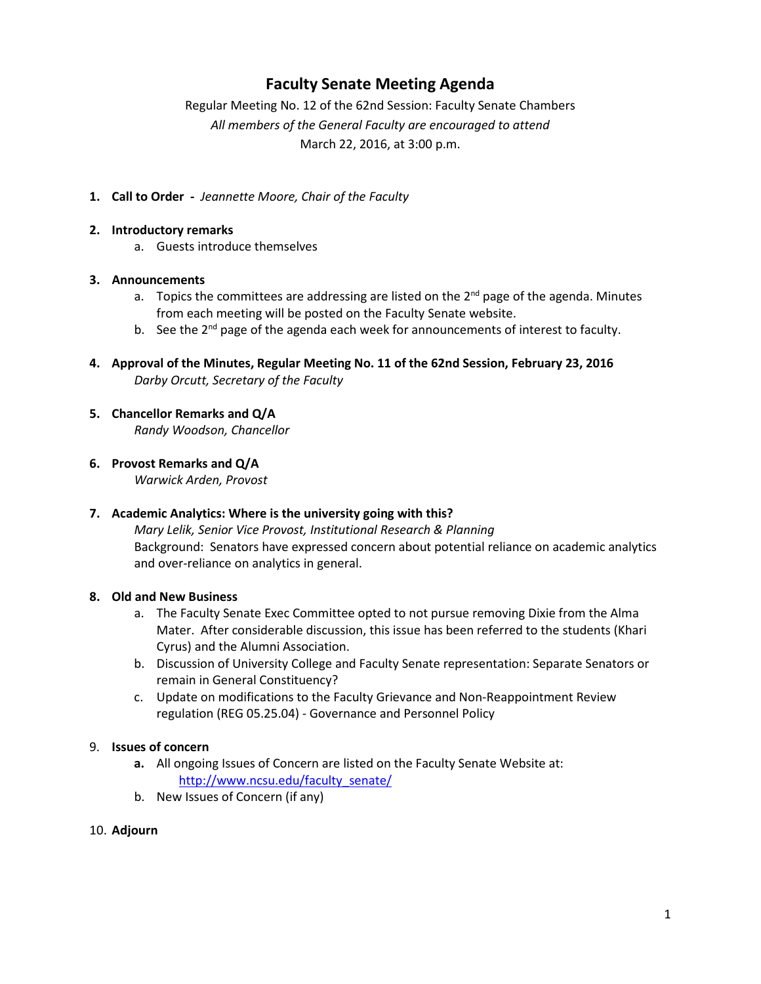## **Faculty Senate Meeting Agenda**

Regular Meeting No. 12 of the 62nd Session: Faculty Senate Chambers *All members of the General Faculty are encouraged to attend* March 22, 2016, at 3:00 p.m.

**1. Call to Order -** *Jeannette Moore, Chair of the Faculty*

#### **2. Introductory remarks**

a. Guests introduce themselves

#### **3. Announcements**

- a. Topics the committees are addressing are listed on the  $2^{nd}$  page of the agenda. Minutes from each meeting will be posted on the Faculty Senate website.
- b. See the  $2^{nd}$  page of the agenda each week for announcements of interest to faculty.
- **4. Approval of the Minutes, Regular Meeting No. 11 of the 62nd Session, February 23, 2016** *Darby Orcutt, Secretary of the Faculty*
- **5. Chancellor Remarks and Q/A**

*Randy Woodson, Chancellor*

**6. Provost Remarks and Q/A**

*Warwick Arden, Provost*

#### **7. Academic Analytics: Where is the university going with this?**

*Mary Lelik, Senior Vice Provost, Institutional Research & Planning* Background: Senators have expressed concern about potential reliance on academic analytics and over-reliance on analytics in general.

#### **8. Old and New Business**

- a. The Faculty Senate Exec Committee opted to not pursue removing Dixie from the Alma Mater. After considerable discussion, this issue has been referred to the students (Khari Cyrus) and the Alumni Association.
- b. Discussion of University College and Faculty Senate representation: Separate Senators or remain in General Constituency?
- c. Update on modifications to the Faculty Grievance and Non-Reappointment Review regulation (REG 05.25.04) - Governance and Personnel Policy

#### 9. **Issues of concern**

- **a.** All ongoing Issues of Concern are listed on the Faculty Senate Website at: http://www.ncsu.edu/faculty\_senate/
- b. New Issues of Concern (if any)

#### 10. **Adjourn**